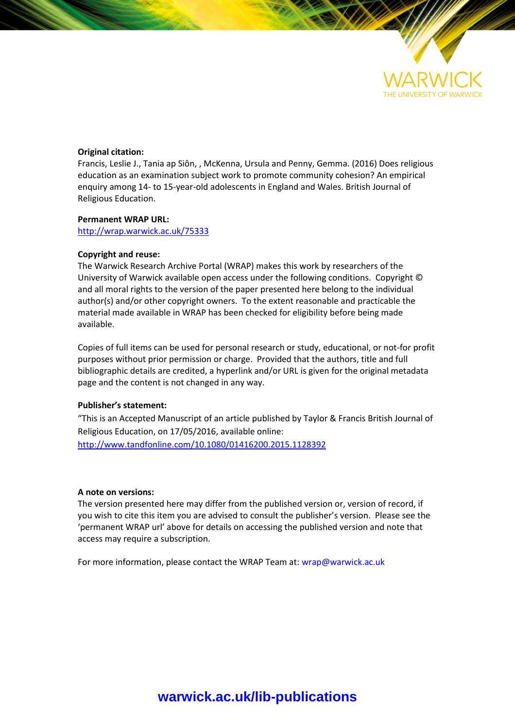

#### **Original citation:**

Francis, Leslie J., Tania ap Siôn, , McKenna, Ursula and Penny, Gemma. (2016) Does religious education as an examination subject work to promote community cohesion? An empirical enquiry among 14- to 15-year-old adolescents in England and Wales. British Journal of Religious Education.

#### **Permanent WRAP URL:**

<http://wrap.warwick.ac.uk/75333>

#### **Copyright and reuse:**

The Warwick Research Archive Portal (WRAP) makes this work by researchers of the University of Warwick available open access under the following conditions. Copyright © and all moral rights to the version of the paper presented here belong to the individual author(s) and/or other copyright owners. To the extent reasonable and practicable the material made available in WRAP has been checked for eligibility before being made available.

Copies of full items can be used for personal research or study, educational, or not-for profit purposes without prior permission or charge. Provided that the authors, title and full bibliographic details are credited, a hyperlink and/or URL is given for the original metadata page and the content is not changed in any way.

#### **Publisher's statement:**

"This is an Accepted Manuscript of an article published by Taylor & Francis British Journal of Religious Education, on 17/05/2016, available online: <http://www.tandfonline.com/10.1080/01416200.2015.1128392>

#### **A note on versions:**

The version presented here may differ from the published version or, version of record, if you wish to cite this item you are advised to consult the publisher's version. Please see the 'permanent WRAP url' above for details on accessing the published version and note that access may require a subscription.

For more information, please contact the WRAP Team at[: wrap@warwick.ac.uk](mailto:wrap@warwick.ac.uk)

# **[warwick.ac.uk/lib-publications](http://go.warwick.ac.uk/lib-publications)**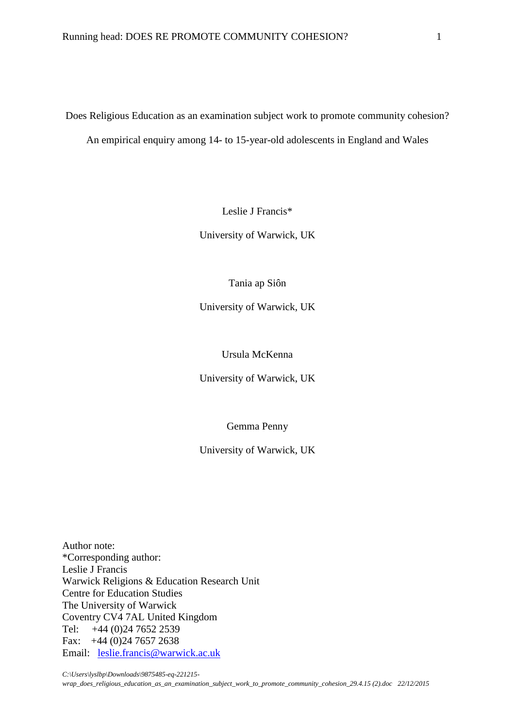Does Religious Education as an examination subject work to promote community cohesion? An empirical enquiry among 14- to 15-year-old adolescents in England and Wales

Leslie J Francis\*

University of Warwick, UK

Tania ap Siôn

University of Warwick, UK

Ursula McKenna

University of Warwick, UK

Gemma Penny

University of Warwick, UK

Author note: \*Corresponding author: Leslie J Francis Warwick Religions & Education Research Unit Centre for Education Studies The University of Warwick Coventry CV4 7AL United Kingdom Tel: +44 (0)24 7652 2539 Fax: +44 (0)24 7657 2638 Email: [leslie.francis@warwick.ac.uk](mailto:leslie.francis@warwick.ac.uk)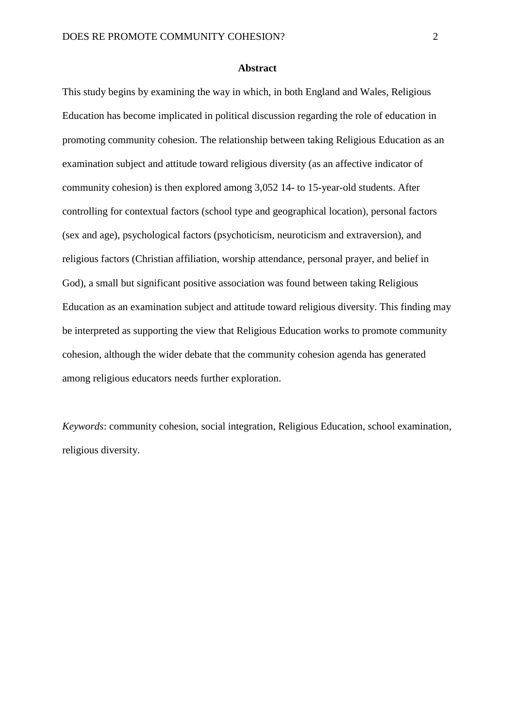#### **Abstract**

This study begins by examining the way in which, in both England and Wales, Religious Education has become implicated in political discussion regarding the role of education in promoting community cohesion. The relationship between taking Religious Education as an examination subject and attitude toward religious diversity (as an affective indicator of community cohesion) is then explored among 3,052 14- to 15-year-old students. After controlling for contextual factors (school type and geographical location), personal factors (sex and age), psychological factors (psychoticism, neuroticism and extraversion), and religious factors (Christian affiliation, worship attendance, personal prayer, and belief in God), a small but significant positive association was found between taking Religious Education as an examination subject and attitude toward religious diversity. This finding may be interpreted as supporting the view that Religious Education works to promote community cohesion, although the wider debate that the community cohesion agenda has generated among religious educators needs further exploration.

*Keywords*: community cohesion, social integration, Religious Education, school examination, religious diversity.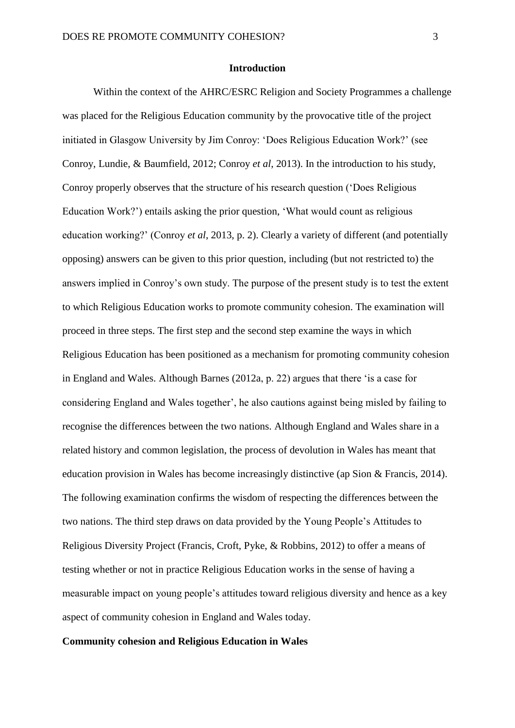#### **Introduction**

Within the context of the AHRC/ESRC Religion and Society Programmes a challenge was placed for the Religious Education community by the provocative title of the project initiated in Glasgow University by Jim Conroy: 'Does Religious Education Work?' (see Conroy, Lundie, & Baumfield, 2012; Conroy *et al*, 2013). In the introduction to his study, Conroy properly observes that the structure of his research question ('Does Religious Education Work?') entails asking the prior question, 'What would count as religious education working?' (Conroy *et al*, 2013, p. 2). Clearly a variety of different (and potentially opposing) answers can be given to this prior question, including (but not restricted to) the answers implied in Conroy's own study. The purpose of the present study is to test the extent to which Religious Education works to promote community cohesion. The examination will proceed in three steps. The first step and the second step examine the ways in which Religious Education has been positioned as a mechanism for promoting community cohesion in England and Wales. Although Barnes (2012a, p. 22) argues that there 'is a case for considering England and Wales together', he also cautions against being misled by failing to recognise the differences between the two nations. Although England and Wales share in a related history and common legislation, the process of devolution in Wales has meant that education provision in Wales has become increasingly distinctive (ap Sion & Francis, 2014). The following examination confirms the wisdom of respecting the differences between the two nations. The third step draws on data provided by the Young People's Attitudes to Religious Diversity Project (Francis, Croft, Pyke, & Robbins, 2012) to offer a means of testing whether or not in practice Religious Education works in the sense of having a measurable impact on young people's attitudes toward religious diversity and hence as a key aspect of community cohesion in England and Wales today.

#### **Community cohesion and Religious Education in Wales**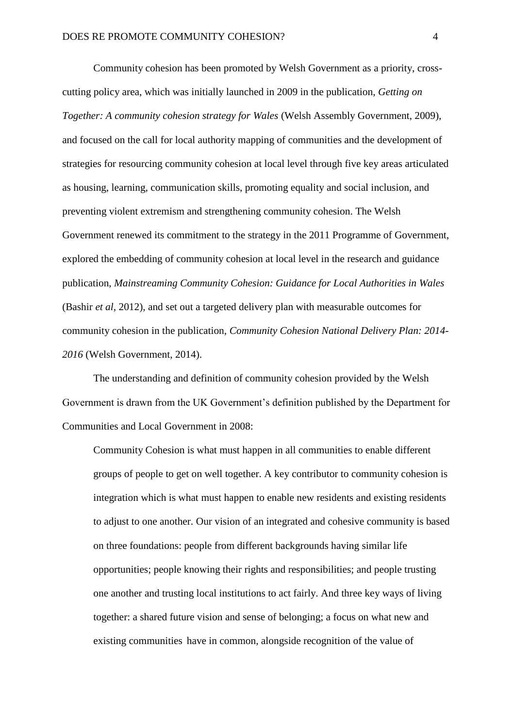Community cohesion has been promoted by Welsh Government as a priority, crosscutting policy area, which was initially launched in 2009 in the publication, *Getting on Together: A community cohesion strategy for Wales* (Welsh Assembly Government, 2009), and focused on the call for local authority mapping of communities and the development of strategies for resourcing community cohesion at local level through five key areas articulated as housing, learning, communication skills, promoting equality and social inclusion, and preventing violent extremism and strengthening community cohesion. The Welsh Government renewed its commitment to the strategy in the 2011 Programme of Government, explored the embedding of community cohesion at local level in the research and guidance publication, *Mainstreaming Community Cohesion: Guidance for Local Authorities in Wales* (Bashir *et al*, 2012), and set out a targeted delivery plan with measurable outcomes for community cohesion in the publication, *Community Cohesion National Delivery Plan: 2014- 2016* (Welsh Government, 2014).

The understanding and definition of community cohesion provided by the Welsh Government is drawn from the UK Government's definition published by the Department for Communities and Local Government in 2008:

Community Cohesion is what must happen in all communities to enable different groups of people to get on well together. A key contributor to community cohesion is integration which is what must happen to enable new residents and existing residents to adjust to one another. Our vision of an integrated and cohesive community is based on three foundations: people from different backgrounds having similar life opportunities; people knowing their rights and responsibilities; and people trusting one another and trusting local institutions to act fairly. And three key ways of living together: a shared future vision and sense of belonging; a focus on what new and existing communities have in common, alongside recognition of the value of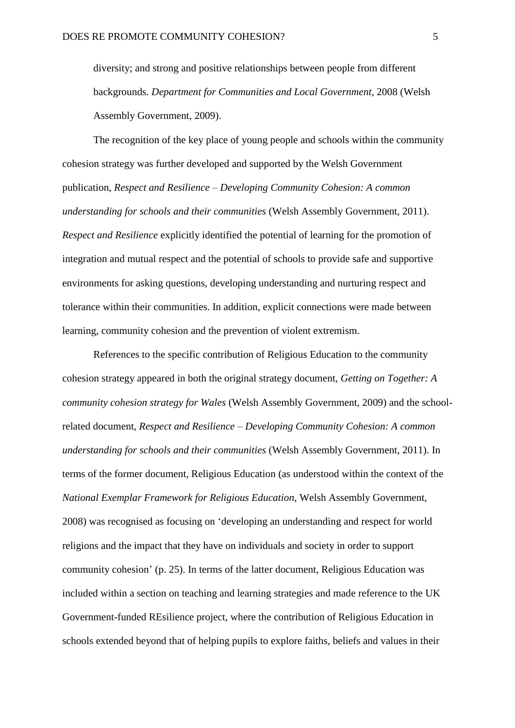diversity; and strong and positive relationships between people from different backgrounds. *Department for Communities and Local Government*, 2008 (Welsh Assembly Government, 2009).

The recognition of the key place of young people and schools within the community cohesion strategy was further developed and supported by the Welsh Government publication, *Respect and Resilience – Developing Community Cohesion: A common understanding for schools and their communities* (Welsh Assembly Government, 2011). *Respect and Resilience* explicitly identified the potential of learning for the promotion of integration and mutual respect and the potential of schools to provide safe and supportive environments for asking questions, developing understanding and nurturing respect and tolerance within their communities. In addition, explicit connections were made between learning, community cohesion and the prevention of violent extremism.

References to the specific contribution of Religious Education to the community cohesion strategy appeared in both the original strategy document, *Getting on Together: A community cohesion strategy for Wales* (Welsh Assembly Government, 2009) and the schoolrelated document, *Respect and Resilience – Developing Community Cohesion: A common understanding for schools and their communities* (Welsh Assembly Government, 2011). In terms of the former document, Religious Education (as understood within the context of the *National Exemplar Framework for Religious Education*, Welsh Assembly Government, 2008) was recognised as focusing on 'developing an understanding and respect for world religions and the impact that they have on individuals and society in order to support community cohesion' (p. 25). In terms of the latter document, Religious Education was included within a section on teaching and learning strategies and made reference to the UK Government-funded REsilience project, where the contribution of Religious Education in schools extended beyond that of helping pupils to explore faiths, beliefs and values in their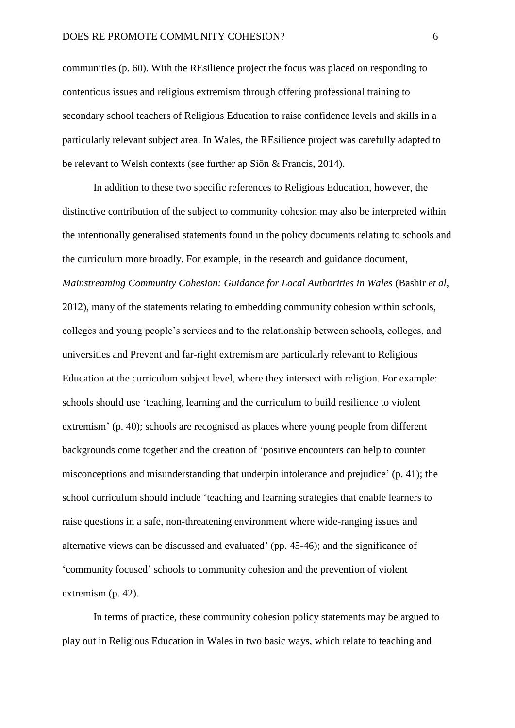communities (p. 60). With the REsilience project the focus was placed on responding to contentious issues and religious extremism through offering professional training to secondary school teachers of Religious Education to raise confidence levels and skills in a particularly relevant subject area. In Wales, the REsilience project was carefully adapted to be relevant to Welsh contexts (see further ap Siôn & Francis, 2014).

In addition to these two specific references to Religious Education, however, the distinctive contribution of the subject to community cohesion may also be interpreted within the intentionally generalised statements found in the policy documents relating to schools and the curriculum more broadly. For example, in the research and guidance document, *Mainstreaming Community Cohesion: Guidance for Local Authorities in Wales* (Bashir *et al*, 2012), many of the statements relating to embedding community cohesion within schools, colleges and young people's services and to the relationship between schools, colleges, and universities and Prevent and far-right extremism are particularly relevant to Religious Education at the curriculum subject level, where they intersect with religion. For example: schools should use 'teaching, learning and the curriculum to build resilience to violent extremism' (p. 40); schools are recognised as places where young people from different backgrounds come together and the creation of 'positive encounters can help to counter misconceptions and misunderstanding that underpin intolerance and prejudice' (p. 41); the school curriculum should include 'teaching and learning strategies that enable learners to raise questions in a safe, non-threatening environment where wide-ranging issues and alternative views can be discussed and evaluated' (pp. 45-46); and the significance of 'community focused' schools to community cohesion and the prevention of violent extremism (p. 42).

In terms of practice, these community cohesion policy statements may be argued to play out in Religious Education in Wales in two basic ways, which relate to teaching and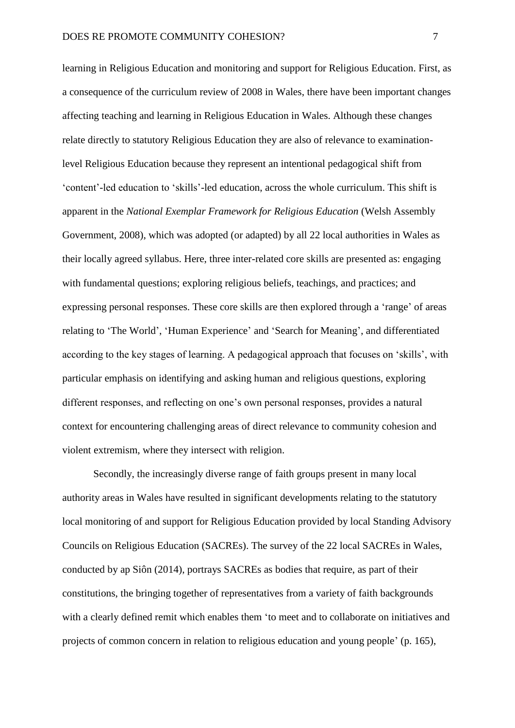learning in Religious Education and monitoring and support for Religious Education. First, as a consequence of the curriculum review of 2008 in Wales, there have been important changes affecting teaching and learning in Religious Education in Wales. Although these changes relate directly to statutory Religious Education they are also of relevance to examinationlevel Religious Education because they represent an intentional pedagogical shift from 'content'-led education to 'skills'-led education, across the whole curriculum. This shift is apparent in the *National Exemplar Framework for Religious Education* (Welsh Assembly Government, 2008), which was adopted (or adapted) by all 22 local authorities in Wales as their locally agreed syllabus. Here, three inter-related core skills are presented as: engaging with fundamental questions; exploring religious beliefs, teachings, and practices; and expressing personal responses. These core skills are then explored through a 'range' of areas relating to 'The World', 'Human Experience' and 'Search for Meaning', and differentiated according to the key stages of learning. A pedagogical approach that focuses on 'skills', with particular emphasis on identifying and asking human and religious questions, exploring different responses, and reflecting on one's own personal responses, provides a natural context for encountering challenging areas of direct relevance to community cohesion and violent extremism, where they intersect with religion.

Secondly, the increasingly diverse range of faith groups present in many local authority areas in Wales have resulted in significant developments relating to the statutory local monitoring of and support for Religious Education provided by local Standing Advisory Councils on Religious Education (SACREs). The survey of the 22 local SACREs in Wales, conducted by ap Siôn (2014), portrays SACREs as bodies that require, as part of their constitutions, the bringing together of representatives from a variety of faith backgrounds with a clearly defined remit which enables them 'to meet and to collaborate on initiatives and projects of common concern in relation to religious education and young people' (p. 165),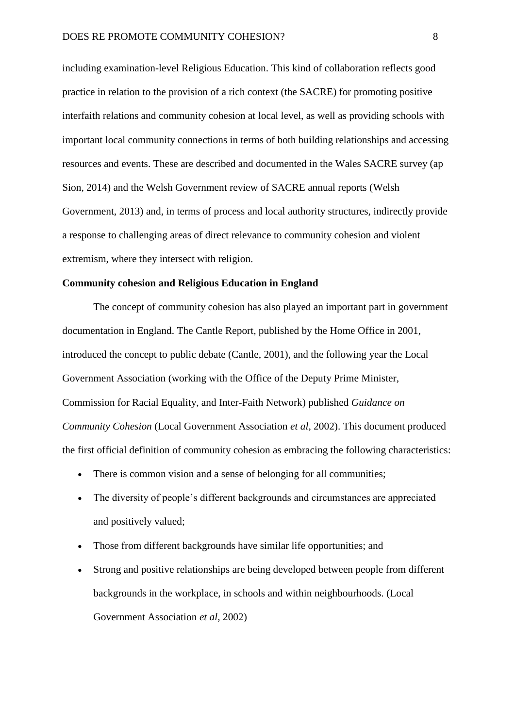including examination-level Religious Education. This kind of collaboration reflects good practice in relation to the provision of a rich context (the SACRE) for promoting positive interfaith relations and community cohesion at local level, as well as providing schools with important local community connections in terms of both building relationships and accessing resources and events. These are described and documented in the Wales SACRE survey (ap Sion, 2014) and the Welsh Government review of SACRE annual reports (Welsh Government, 2013) and, in terms of process and local authority structures, indirectly provide a response to challenging areas of direct relevance to community cohesion and violent extremism, where they intersect with religion.

#### **Community cohesion and Religious Education in England**

The concept of community cohesion has also played an important part in government documentation in England. The Cantle Report, published by the Home Office in 2001, introduced the concept to public debate (Cantle, 2001), and the following year the Local Government Association (working with the Office of the Deputy Prime Minister, Commission for Racial Equality, and Inter-Faith Network) published *Guidance on Community Cohesion* (Local Government Association *et al*, 2002). This document produced the first official definition of community cohesion as embracing the following characteristics:

- There is common vision and a sense of belonging for all communities;
- The diversity of people's different backgrounds and circumstances are appreciated and positively valued;
- Those from different backgrounds have similar life opportunities; and
- Strong and positive relationships are being developed between people from different backgrounds in the workplace, in schools and within neighbourhoods. (Local Government Association *et al*, 2002)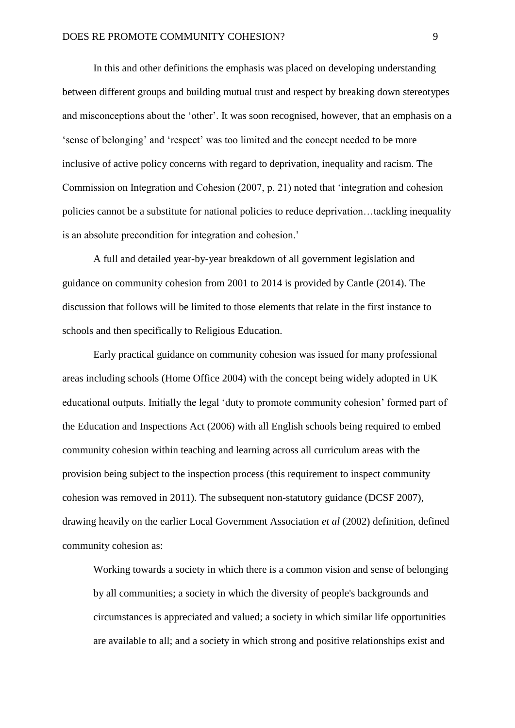In this and other definitions the emphasis was placed on developing understanding between different groups and building mutual trust and respect by breaking down stereotypes and misconceptions about the 'other'. It was soon recognised, however, that an emphasis on a 'sense of belonging' and 'respect' was too limited and the concept needed to be more inclusive of active policy concerns with regard to deprivation, inequality and racism. The Commission on Integration and Cohesion (2007, p. 21) noted that 'integration and cohesion policies cannot be a substitute for national policies to reduce deprivation…tackling inequality is an absolute precondition for integration and cohesion.'

A full and detailed year-by-year breakdown of all government legislation and guidance on community cohesion from 2001 to 2014 is provided by Cantle (2014). The discussion that follows will be limited to those elements that relate in the first instance to schools and then specifically to Religious Education.

Early practical guidance on community cohesion was issued for many professional areas including schools (Home Office 2004) with the concept being widely adopted in UK educational outputs. Initially the legal 'duty to promote community cohesion' formed part of the Education and Inspections Act (2006) with all English schools being required to embed community cohesion within teaching and learning across all curriculum areas with the provision being subject to the inspection process (this requirement to inspect community cohesion was removed in 2011). The subsequent non-statutory guidance (DCSF 2007), drawing heavily on the earlier Local Government Association *et al* (2002) definition, defined community cohesion as:

Working towards a society in which there is a common vision and sense of belonging by all communities; a society in which the diversity of people's backgrounds and circumstances is appreciated and valued; a society in which similar life opportunities are available to all; and a society in which strong and positive relationships exist and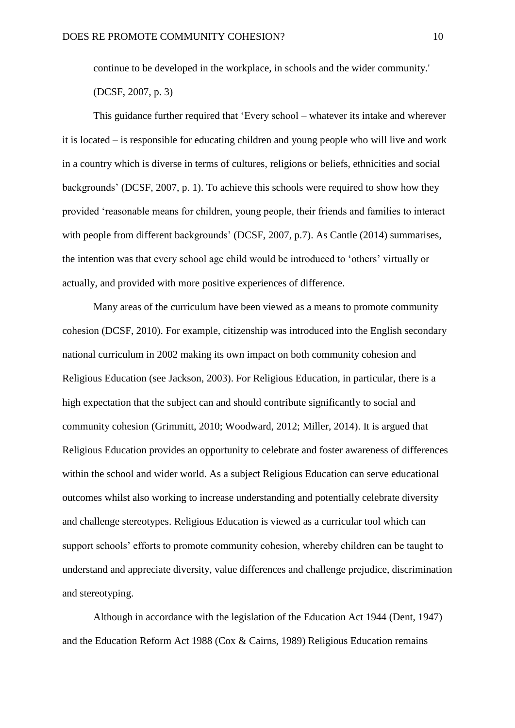continue to be developed in the workplace, in schools and the wider community.'

(DCSF, 2007, p. 3)

This guidance further required that 'Every school – whatever its intake and wherever it is located – is responsible for educating children and young people who will live and work in a country which is diverse in terms of cultures, religions or beliefs, ethnicities and social backgrounds' (DCSF, 2007, p. 1). To achieve this schools were required to show how they provided 'reasonable means for children, young people, their friends and families to interact with people from different backgrounds' (DCSF, 2007, p.7). As Cantle (2014) summarises, the intention was that every school age child would be introduced to 'others' virtually or actually, and provided with more positive experiences of difference.

Many areas of the curriculum have been viewed as a means to promote community cohesion (DCSF, 2010). For example, citizenship was introduced into the English secondary national curriculum in 2002 making its own impact on both community cohesion and Religious Education (see Jackson, 2003). For Religious Education, in particular, there is a high expectation that the subject can and should contribute significantly to social and community cohesion (Grimmitt, 2010; Woodward, 2012; Miller, 2014). It is argued that Religious Education provides an opportunity to celebrate and foster awareness of differences within the school and wider world. As a subject Religious Education can serve educational outcomes whilst also working to increase understanding and potentially celebrate diversity and challenge stereotypes. Religious Education is viewed as a curricular tool which can support schools' efforts to promote community cohesion, whereby children can be taught to understand and appreciate diversity, value differences and challenge prejudice, discrimination and stereotyping.

Although in accordance with the legislation of the Education Act 1944 (Dent, 1947) and the Education Reform Act 1988 (Cox & Cairns, 1989) Religious Education remains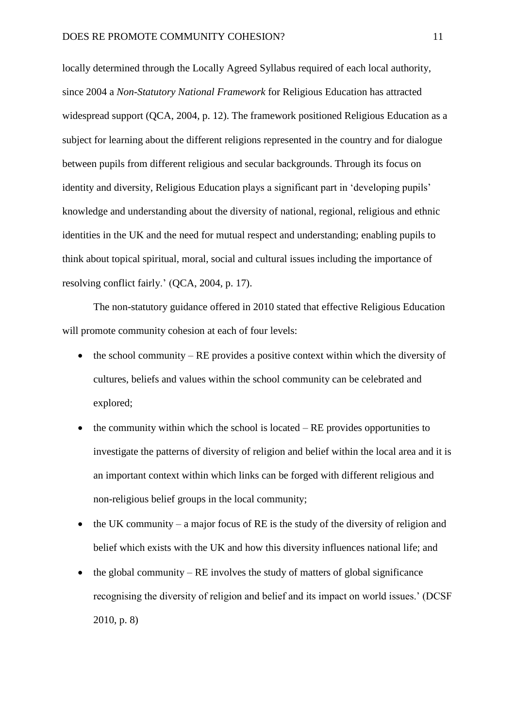locally determined through the Locally Agreed Syllabus required of each local authority, since 2004 a *Non-Statutory National Framework* for Religious Education has attracted widespread support (QCA, 2004, p. 12). The framework positioned Religious Education as a subject for learning about the different religions represented in the country and for dialogue between pupils from different religious and secular backgrounds. Through its focus on identity and diversity, Religious Education plays a significant part in 'developing pupils' knowledge and understanding about the diversity of national, regional, religious and ethnic identities in the UK and the need for mutual respect and understanding; enabling pupils to think about topical spiritual, moral, social and cultural issues including the importance of resolving conflict fairly.' (QCA, 2004, p. 17).

The non-statutory guidance offered in 2010 stated that effective Religious Education will promote community cohesion at each of four levels:

- $\bullet$  the school community RE provides a positive context within which the diversity of cultures, beliefs and values within the school community can be celebrated and explored;
- $\bullet$  the community within which the school is located RE provides opportunities to investigate the patterns of diversity of religion and belief within the local area and it is an important context within which links can be forged with different religious and non-religious belief groups in the local community;
- $\bullet$  the UK community a major focus of RE is the study of the diversity of religion and belief which exists with the UK and how this diversity influences national life; and
- the global community RE involves the study of matters of global significance recognising the diversity of religion and belief and its impact on world issues.' (DCSF 2010, p. 8)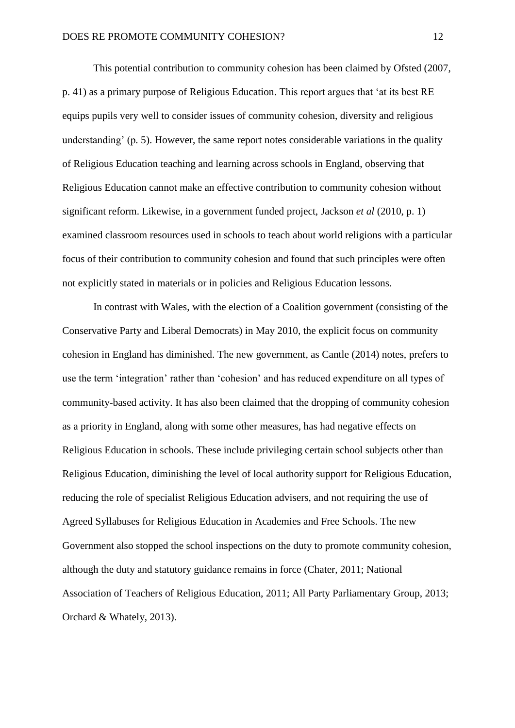This potential contribution to community cohesion has been claimed by Ofsted (2007, p. 41) as a primary purpose of Religious Education. This report argues that 'at its best RE equips pupils very well to consider issues of community cohesion, diversity and religious understanding' (p. 5). However, the same report notes considerable variations in the quality of Religious Education teaching and learning across schools in England, observing that Religious Education cannot make an effective contribution to community cohesion without significant reform. Likewise, in a government funded project, Jackson *et al* (2010, p. 1) examined classroom resources used in schools to teach about world religions with a particular focus of their contribution to community cohesion and found that such principles were often not explicitly stated in materials or in policies and Religious Education lessons.

In contrast with Wales, with the election of a Coalition government (consisting of the Conservative Party and Liberal Democrats) in May 2010, the explicit focus on community cohesion in England has diminished. The new government, as Cantle (2014) notes, prefers to use the term 'integration' rather than 'cohesion' and has reduced expenditure on all types of community-based activity. It has also been claimed that the dropping of community cohesion as a priority in England, along with some other measures, has had negative effects on Religious Education in schools. These include privileging certain school subjects other than Religious Education, diminishing the level of local authority support for Religious Education, reducing the role of specialist Religious Education advisers, and not requiring the use of Agreed Syllabuses for Religious Education in Academies and Free Schools. The new Government also stopped the school inspections on the duty to promote community cohesion, although the duty and statutory guidance remains in force (Chater, 2011; National Association of Teachers of Religious Education, 2011; All Party Parliamentary Group, 2013; Orchard & Whately, 2013).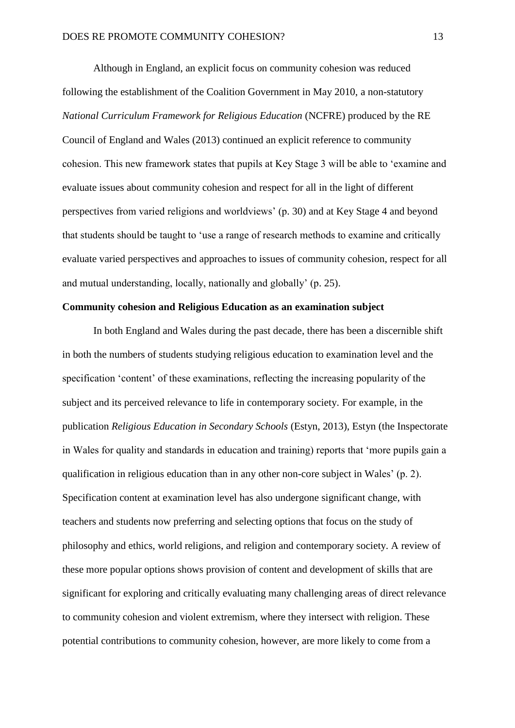Although in England, an explicit focus on community cohesion was reduced following the establishment of the Coalition Government in May 2010, a non-statutory *National Curriculum Framework for Religious Education* (NCFRE) produced by the RE Council of England and Wales (2013) continued an explicit reference to community cohesion. This new framework states that pupils at Key Stage 3 will be able to 'examine and evaluate issues about community cohesion and respect for all in the light of different perspectives from varied religions and worldviews' (p. 30) and at Key Stage 4 and beyond that students should be taught to 'use a range of research methods to examine and critically evaluate varied perspectives and approaches to issues of community cohesion, respect for all and mutual understanding, locally, nationally and globally' (p. 25).

#### **Community cohesion and Religious Education as an examination subject**

In both England and Wales during the past decade, there has been a discernible shift in both the numbers of students studying religious education to examination level and the specification 'content' of these examinations, reflecting the increasing popularity of the subject and its perceived relevance to life in contemporary society. For example, in the publication *Religious Education in Secondary Schools* (Estyn, 2013), Estyn (the Inspectorate in Wales for quality and standards in education and training) reports that 'more pupils gain a qualification in religious education than in any other non-core subject in Wales' (p. 2). Specification content at examination level has also undergone significant change, with teachers and students now preferring and selecting options that focus on the study of philosophy and ethics, world religions, and religion and contemporary society. A review of these more popular options shows provision of content and development of skills that are significant for exploring and critically evaluating many challenging areas of direct relevance to community cohesion and violent extremism, where they intersect with religion. These potential contributions to community cohesion, however, are more likely to come from a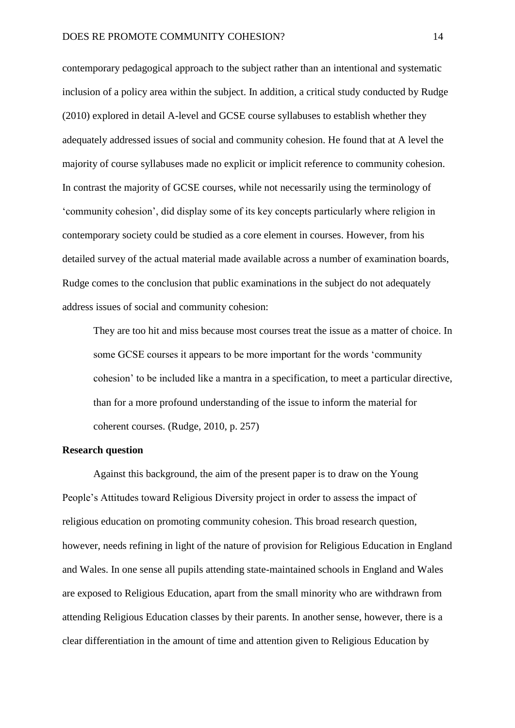contemporary pedagogical approach to the subject rather than an intentional and systematic inclusion of a policy area within the subject. In addition, a critical study conducted by Rudge (2010) explored in detail A-level and GCSE course syllabuses to establish whether they adequately addressed issues of social and community cohesion. He found that at A level the majority of course syllabuses made no explicit or implicit reference to community cohesion. In contrast the majority of GCSE courses, while not necessarily using the terminology of 'community cohesion', did display some of its key concepts particularly where religion in contemporary society could be studied as a core element in courses. However, from his detailed survey of the actual material made available across a number of examination boards, Rudge comes to the conclusion that public examinations in the subject do not adequately address issues of social and community cohesion:

They are too hit and miss because most courses treat the issue as a matter of choice. In some GCSE courses it appears to be more important for the words 'community cohesion' to be included like a mantra in a specification, to meet a particular directive, than for a more profound understanding of the issue to inform the material for coherent courses. (Rudge, 2010, p. 257)

#### **Research question**

Against this background, the aim of the present paper is to draw on the Young People's Attitudes toward Religious Diversity project in order to assess the impact of religious education on promoting community cohesion. This broad research question, however, needs refining in light of the nature of provision for Religious Education in England and Wales. In one sense all pupils attending state-maintained schools in England and Wales are exposed to Religious Education, apart from the small minority who are withdrawn from attending Religious Education classes by their parents. In another sense, however, there is a clear differentiation in the amount of time and attention given to Religious Education by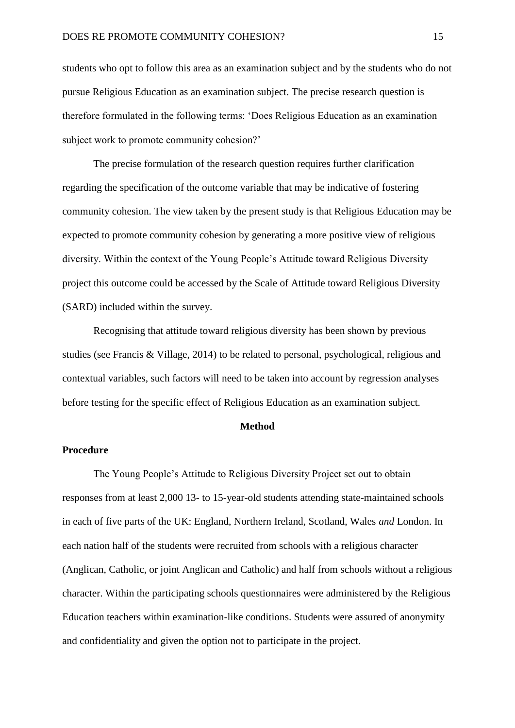students who opt to follow this area as an examination subject and by the students who do not pursue Religious Education as an examination subject. The precise research question is therefore formulated in the following terms: 'Does Religious Education as an examination subject work to promote community cohesion?'

The precise formulation of the research question requires further clarification regarding the specification of the outcome variable that may be indicative of fostering community cohesion. The view taken by the present study is that Religious Education may be expected to promote community cohesion by generating a more positive view of religious diversity. Within the context of the Young People's Attitude toward Religious Diversity project this outcome could be accessed by the Scale of Attitude toward Religious Diversity (SARD) included within the survey.

Recognising that attitude toward religious diversity has been shown by previous studies (see Francis & Village, 2014) to be related to personal, psychological, religious and contextual variables, such factors will need to be taken into account by regression analyses before testing for the specific effect of Religious Education as an examination subject.

#### **Method**

#### **Procedure**

The Young People's Attitude to Religious Diversity Project set out to obtain responses from at least 2,000 13- to 15-year-old students attending state-maintained schools in each of five parts of the UK: England, Northern Ireland, Scotland, Wales *and* London. In each nation half of the students were recruited from schools with a religious character (Anglican, Catholic, or joint Anglican and Catholic) and half from schools without a religious character. Within the participating schools questionnaires were administered by the Religious Education teachers within examination-like conditions. Students were assured of anonymity and confidentiality and given the option not to participate in the project.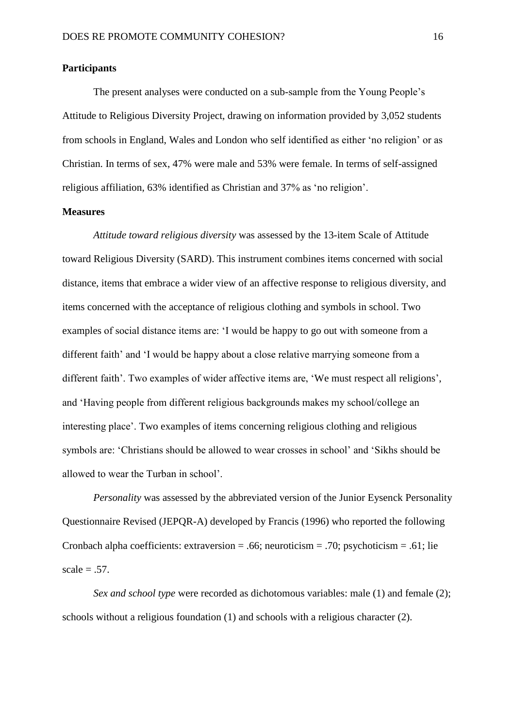#### **Participants**

The present analyses were conducted on a sub-sample from the Young People's Attitude to Religious Diversity Project, drawing on information provided by 3,052 students from schools in England, Wales and London who self identified as either 'no religion' or as Christian. In terms of sex, 47% were male and 53% were female. In terms of self-assigned religious affiliation, 63% identified as Christian and 37% as 'no religion'.

#### **Measures**

*Attitude toward religious diversity* was assessed by the 13-item Scale of Attitude toward Religious Diversity (SARD). This instrument combines items concerned with social distance, items that embrace a wider view of an affective response to religious diversity, and items concerned with the acceptance of religious clothing and symbols in school. Two examples of social distance items are: 'I would be happy to go out with someone from a different faith' and 'I would be happy about a close relative marrying someone from a different faith'. Two examples of wider affective items are, 'We must respect all religions', and 'Having people from different religious backgrounds makes my school/college an interesting place'. Two examples of items concerning religious clothing and religious symbols are: 'Christians should be allowed to wear crosses in school' and 'Sikhs should be allowed to wear the Turban in school'.

*Personality* was assessed by the abbreviated version of the Junior Eysenck Personality Questionnaire Revised (JEPQR-A) developed by Francis (1996) who reported the following Cronbach alpha coefficients: extraversion = .66; neuroticism = .70; psychoticism = .61; lie  $scale = .57.$ 

*Sex and school type* were recorded as dichotomous variables: male (1) and female (2): schools without a religious foundation (1) and schools with a religious character (2).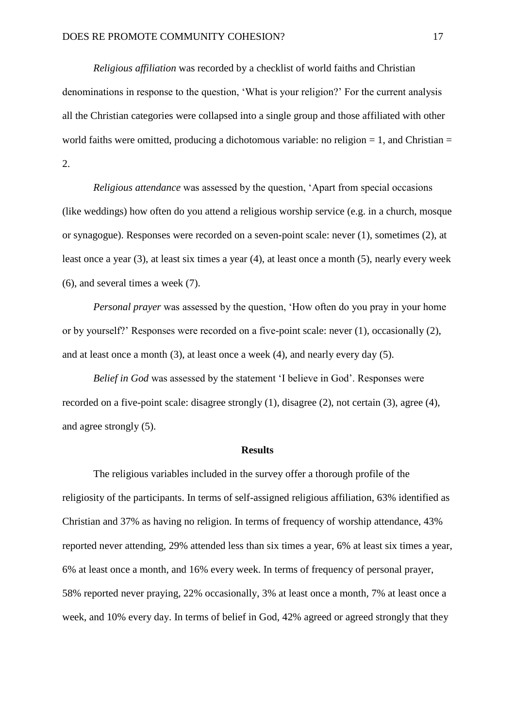*Religious affiliation* was recorded by a checklist of world faiths and Christian denominations in response to the question, 'What is your religion?' For the current analysis all the Christian categories were collapsed into a single group and those affiliated with other world faiths were omitted, producing a dichotomous variable: no religion  $= 1$ , and Christian  $=$ 2.

*Religious attendance* was assessed by the question, 'Apart from special occasions (like weddings) how often do you attend a religious worship service (e.g. in a church, mosque or synagogue). Responses were recorded on a seven-point scale: never (1), sometimes (2), at least once a year (3), at least six times a year (4), at least once a month (5), nearly every week (6), and several times a week (7).

*Personal prayer* was assessed by the question, 'How often do you pray in your home or by yourself?' Responses were recorded on a five-point scale: never (1), occasionally (2), and at least once a month (3), at least once a week (4), and nearly every day (5).

*Belief in God* was assessed by the statement 'I believe in God'. Responses were recorded on a five-point scale: disagree strongly (1), disagree (2), not certain (3), agree (4), and agree strongly (5).

#### **Results**

The religious variables included in the survey offer a thorough profile of the religiosity of the participants. In terms of self-assigned religious affiliation, 63% identified as Christian and 37% as having no religion. In terms of frequency of worship attendance, 43% reported never attending, 29% attended less than six times a year, 6% at least six times a year, 6% at least once a month, and 16% every week. In terms of frequency of personal prayer, 58% reported never praying, 22% occasionally, 3% at least once a month, 7% at least once a week, and 10% every day. In terms of belief in God, 42% agreed or agreed strongly that they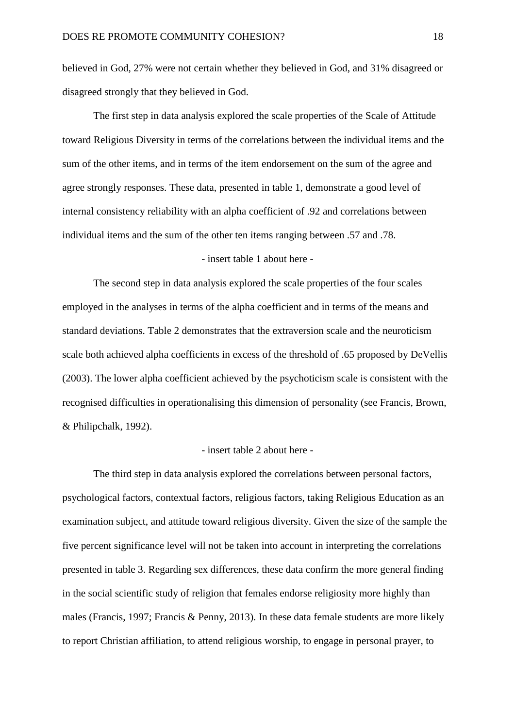believed in God, 27% were not certain whether they believed in God, and 31% disagreed or disagreed strongly that they believed in God.

The first step in data analysis explored the scale properties of the Scale of Attitude toward Religious Diversity in terms of the correlations between the individual items and the sum of the other items, and in terms of the item endorsement on the sum of the agree and agree strongly responses. These data, presented in table 1, demonstrate a good level of internal consistency reliability with an alpha coefficient of .92 and correlations between individual items and the sum of the other ten items ranging between .57 and .78.

#### - insert table 1 about here -

The second step in data analysis explored the scale properties of the four scales employed in the analyses in terms of the alpha coefficient and in terms of the means and standard deviations. Table 2 demonstrates that the extraversion scale and the neuroticism scale both achieved alpha coefficients in excess of the threshold of .65 proposed by DeVellis (2003). The lower alpha coefficient achieved by the psychoticism scale is consistent with the recognised difficulties in operationalising this dimension of personality (see Francis, Brown, & Philipchalk, 1992).

#### - insert table 2 about here -

The third step in data analysis explored the correlations between personal factors, psychological factors, contextual factors, religious factors, taking Religious Education as an examination subject, and attitude toward religious diversity. Given the size of the sample the five percent significance level will not be taken into account in interpreting the correlations presented in table 3. Regarding sex differences, these data confirm the more general finding in the social scientific study of religion that females endorse religiosity more highly than males (Francis, 1997; Francis & Penny, 2013). In these data female students are more likely to report Christian affiliation, to attend religious worship, to engage in personal prayer, to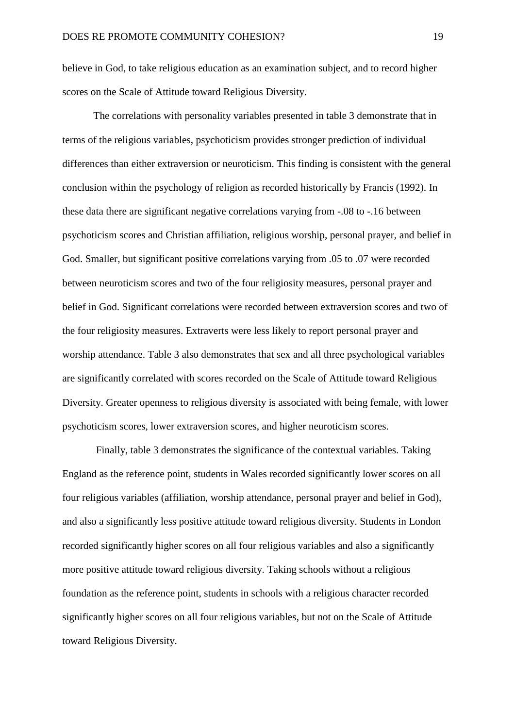believe in God, to take religious education as an examination subject, and to record higher scores on the Scale of Attitude toward Religious Diversity.

The correlations with personality variables presented in table 3 demonstrate that in terms of the religious variables, psychoticism provides stronger prediction of individual differences than either extraversion or neuroticism. This finding is consistent with the general conclusion within the psychology of religion as recorded historically by Francis (1992). In these data there are significant negative correlations varying from -.08 to -.16 between psychoticism scores and Christian affiliation, religious worship, personal prayer, and belief in God. Smaller, but significant positive correlations varying from .05 to .07 were recorded between neuroticism scores and two of the four religiosity measures, personal prayer and belief in God. Significant correlations were recorded between extraversion scores and two of the four religiosity measures. Extraverts were less likely to report personal prayer and worship attendance. Table 3 also demonstrates that sex and all three psychological variables are significantly correlated with scores recorded on the Scale of Attitude toward Religious Diversity. Greater openness to religious diversity is associated with being female, with lower psychoticism scores, lower extraversion scores, and higher neuroticism scores.

Finally, table 3 demonstrates the significance of the contextual variables. Taking England as the reference point, students in Wales recorded significantly lower scores on all four religious variables (affiliation, worship attendance, personal prayer and belief in God), and also a significantly less positive attitude toward religious diversity. Students in London recorded significantly higher scores on all four religious variables and also a significantly more positive attitude toward religious diversity. Taking schools without a religious foundation as the reference point, students in schools with a religious character recorded significantly higher scores on all four religious variables, but not on the Scale of Attitude toward Religious Diversity.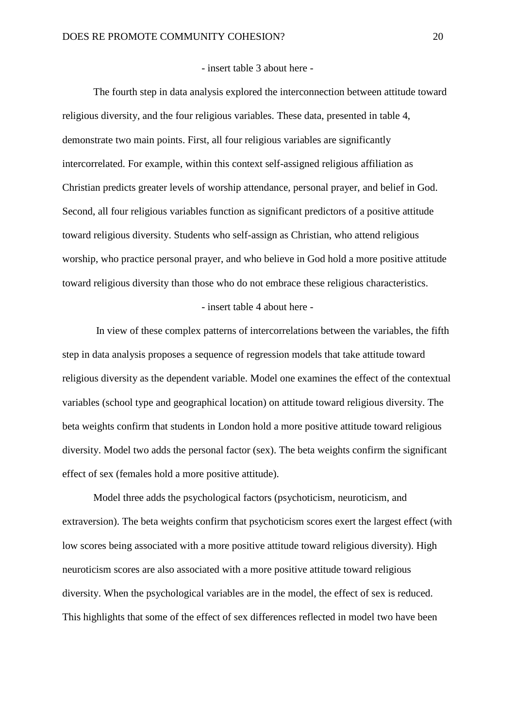#### - insert table 3 about here -

The fourth step in data analysis explored the interconnection between attitude toward religious diversity, and the four religious variables. These data, presented in table 4, demonstrate two main points. First, all four religious variables are significantly intercorrelated. For example, within this context self-assigned religious affiliation as Christian predicts greater levels of worship attendance, personal prayer, and belief in God. Second, all four religious variables function as significant predictors of a positive attitude toward religious diversity. Students who self-assign as Christian, who attend religious worship, who practice personal prayer, and who believe in God hold a more positive attitude toward religious diversity than those who do not embrace these religious characteristics.

#### - insert table 4 about here -

In view of these complex patterns of intercorrelations between the variables, the fifth step in data analysis proposes a sequence of regression models that take attitude toward religious diversity as the dependent variable. Model one examines the effect of the contextual variables (school type and geographical location) on attitude toward religious diversity. The beta weights confirm that students in London hold a more positive attitude toward religious diversity. Model two adds the personal factor (sex). The beta weights confirm the significant effect of sex (females hold a more positive attitude).

Model three adds the psychological factors (psychoticism, neuroticism, and extraversion). The beta weights confirm that psychoticism scores exert the largest effect (with low scores being associated with a more positive attitude toward religious diversity). High neuroticism scores are also associated with a more positive attitude toward religious diversity. When the psychological variables are in the model, the effect of sex is reduced. This highlights that some of the effect of sex differences reflected in model two have been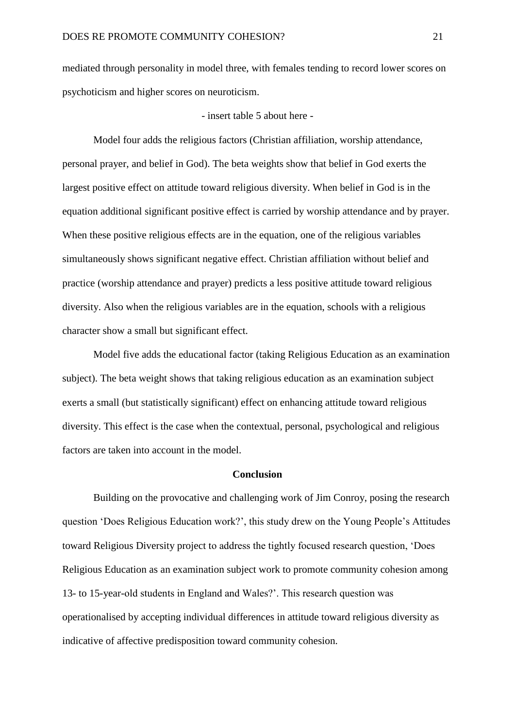mediated through personality in model three, with females tending to record lower scores on psychoticism and higher scores on neuroticism.

- insert table 5 about here -

Model four adds the religious factors (Christian affiliation, worship attendance, personal prayer, and belief in God). The beta weights show that belief in God exerts the largest positive effect on attitude toward religious diversity. When belief in God is in the equation additional significant positive effect is carried by worship attendance and by prayer. When these positive religious effects are in the equation, one of the religious variables simultaneously shows significant negative effect. Christian affiliation without belief and practice (worship attendance and prayer) predicts a less positive attitude toward religious diversity. Also when the religious variables are in the equation, schools with a religious character show a small but significant effect.

Model five adds the educational factor (taking Religious Education as an examination subject). The beta weight shows that taking religious education as an examination subject exerts a small (but statistically significant) effect on enhancing attitude toward religious diversity. This effect is the case when the contextual, personal, psychological and religious factors are taken into account in the model.

#### **Conclusion**

Building on the provocative and challenging work of Jim Conroy, posing the research question 'Does Religious Education work?', this study drew on the Young People's Attitudes toward Religious Diversity project to address the tightly focused research question, 'Does Religious Education as an examination subject work to promote community cohesion among 13- to 15-year-old students in England and Wales?'. This research question was operationalised by accepting individual differences in attitude toward religious diversity as indicative of affective predisposition toward community cohesion.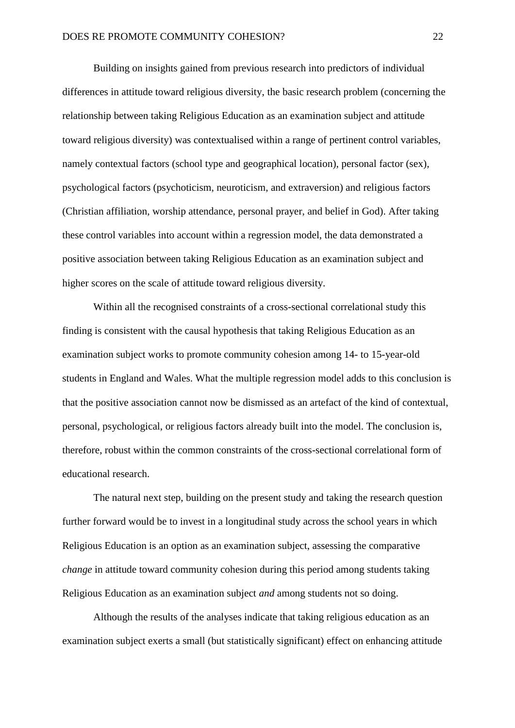Building on insights gained from previous research into predictors of individual differences in attitude toward religious diversity, the basic research problem (concerning the relationship between taking Religious Education as an examination subject and attitude toward religious diversity) was contextualised within a range of pertinent control variables, namely contextual factors (school type and geographical location), personal factor (sex), psychological factors (psychoticism, neuroticism, and extraversion) and religious factors (Christian affiliation, worship attendance, personal prayer, and belief in God). After taking these control variables into account within a regression model, the data demonstrated a positive association between taking Religious Education as an examination subject and higher scores on the scale of attitude toward religious diversity.

Within all the recognised constraints of a cross-sectional correlational study this finding is consistent with the causal hypothesis that taking Religious Education as an examination subject works to promote community cohesion among 14- to 15-year-old students in England and Wales. What the multiple regression model adds to this conclusion is that the positive association cannot now be dismissed as an artefact of the kind of contextual, personal, psychological, or religious factors already built into the model. The conclusion is, therefore, robust within the common constraints of the cross-sectional correlational form of educational research.

The natural next step, building on the present study and taking the research question further forward would be to invest in a longitudinal study across the school years in which Religious Education is an option as an examination subject, assessing the comparative *change* in attitude toward community cohesion during this period among students taking Religious Education as an examination subject *and* among students not so doing.

Although the results of the analyses indicate that taking religious education as an examination subject exerts a small (but statistically significant) effect on enhancing attitude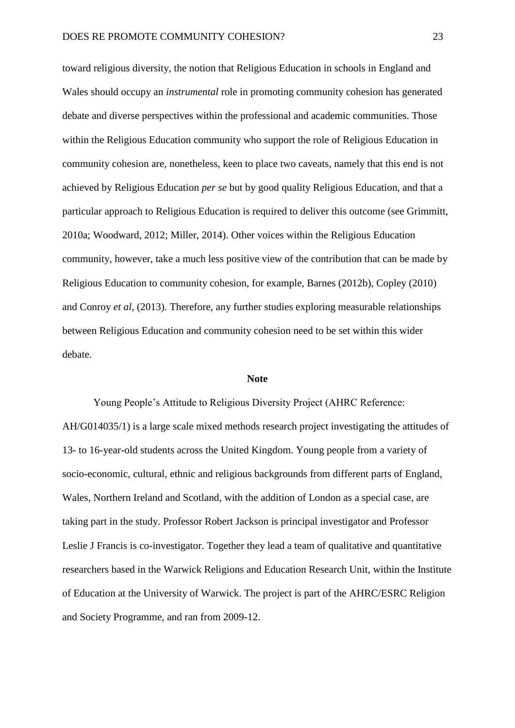toward religious diversity, the notion that Religious Education in schools in England and Wales should occupy an *instrumental* role in promoting community cohesion has generated debate and diverse perspectives within the professional and academic communities. Those within the Religious Education community who support the role of Religious Education in community cohesion are, nonetheless, keen to place two caveats, namely that this end is not achieved by Religious Education *per se* but by good quality Religious Education, and that a particular approach to Religious Education is required to deliver this outcome (see Grimmitt, 2010a; Woodward, 2012; Miller, 2014). Other voices within the Religious Education community, however, take a much less positive view of the contribution that can be made by Religious Education to community cohesion, for example, Barnes (2012b), Copley (2010) and Conroy *et al*, (2013). Therefore, any further studies exploring measurable relationships between Religious Education and community cohesion need to be set within this wider debate.

#### **Note**

Young People's Attitude to Religious Diversity Project (AHRC Reference: AH/G014035/1) is a large scale mixed methods research project investigating the attitudes of 13- to 16-year-old students across the United Kingdom. Young people from a variety of socio-economic, cultural, ethnic and religious backgrounds from different parts of England, Wales, Northern Ireland and Scotland, with the addition of London as a special case, are taking part in the study. Professor Robert Jackson is principal investigator and Professor Leslie J Francis is co-investigator. Together they lead a team of qualitative and quantitative researchers based in the Warwick Religions and Education Research Unit, within the Institute of Education at the University of Warwick. The project is part of the AHRC/ESRC Religion and Society Programme, and ran from 2009-12.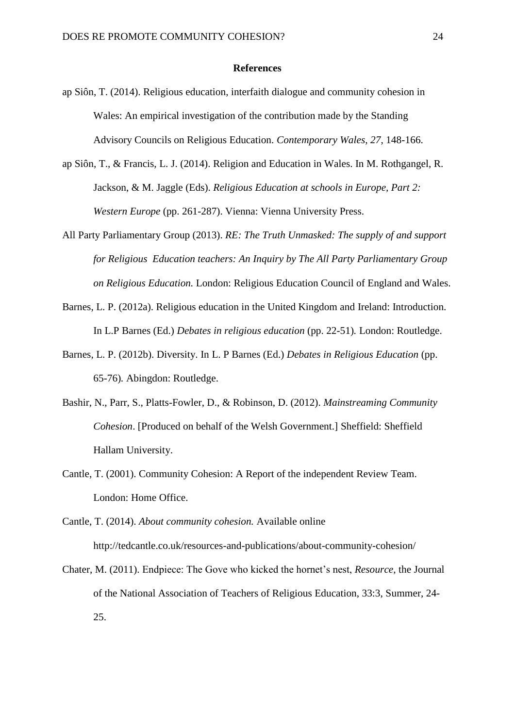#### **References**

- ap Siôn, T. (2014). Religious education, interfaith dialogue and community cohesion in Wales: An empirical investigation of the contribution made by the Standing Advisory Councils on Religious Education. *Contemporary Wales*, *27*, 148-166.
- ap Siôn, T., & Francis, L. J. (2014). Religion and Education in Wales. In M. Rothgangel, R. Jackson, & M. Jaggle (Eds). *Religious Education at schools in Europe, Part 2: Western Europe* (pp. 261-287). Vienna: Vienna University Press.
- All Party Parliamentary Group (2013). *RE: The Truth Unmasked: The supply of and support for Religious Education teachers: An Inquiry by The All Party Parliamentary Group on Religious Education.* London: Religious Education Council of England and Wales.
- Barnes, L. P. (2012a). Religious education in the United Kingdom and Ireland: Introduction. In L.P Barnes (Ed.) *Debates in religious education* (pp. 22-51)*.* London: Routledge.
- Barnes, L. P. (2012b). Diversity. In L. P Barnes (Ed.) *Debates in Religious Education* (pp. 65-76)*.* Abingdon: Routledge.
- Bashir, N., Parr, S., Platts-Fowler, D., & Robinson, D. (2012). *Mainstreaming Community Cohesion*. [Produced on behalf of the Welsh Government.] Sheffield: Sheffield Hallam University.
- Cantle, T. (2001). Community Cohesion: A Report of the independent Review Team. London: Home Office.
- Cantle, T. (2014). *About community cohesion.* Available online <http://tedcantle.co.uk/resources-and-publications/about-community-cohesion/>
- Chater, M. (2011). Endpiece: The Gove who kicked the hornet's nest, *Resource*, the Journal of the National Association of Teachers of Religious Education, 33:3, Summer, 24- 25.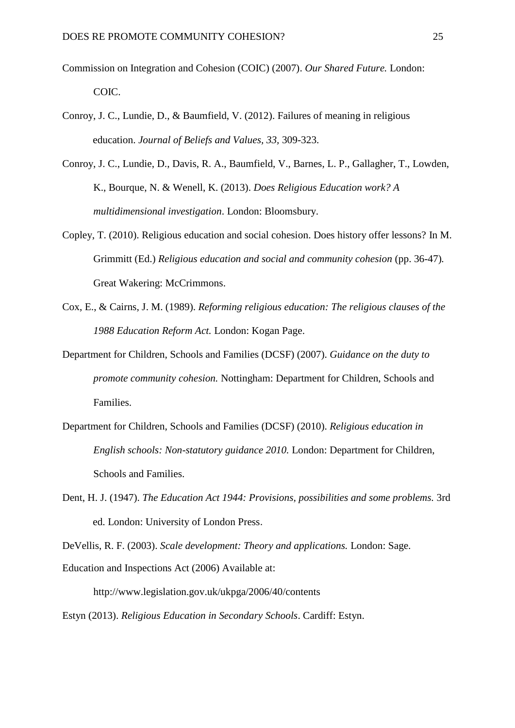- Commission on Integration and Cohesion (COIC) (2007). *Our Shared Future.* London: COIC.
- Conroy, J. C., Lundie, D., & Baumfield, V. (2012). Failures of meaning in religious education. *Journal of Beliefs and Values, 33,* 309-323.
- Conroy, J. C., Lundie, D., Davis, R. A., Baumfield, V., Barnes, L. P., Gallagher, T., Lowden, K., Bourque, N. & Wenell, K. (2013). *Does Religious Education work? A multidimensional investigation*. London: Bloomsbury.
- Copley, T. (2010). Religious education and social cohesion. Does history offer lessons? In M. Grimmitt (Ed.) *Religious education and social and community cohesion* (pp. 36-47)*.* Great Wakering: McCrimmons.
- Cox, E., & Cairns, J. M. (1989). *Reforming religious education: The religious clauses of the 1988 Education Reform Act.* London: Kogan Page.
- Department for Children, Schools and Families (DCSF) (2007). *Guidance on the duty to promote community cohesion.* Nottingham: Department for Children, Schools and Families.
- Department for Children, Schools and Families (DCSF) (2010). *Religious education in English schools: Non-statutory guidance 2010.* London: Department for Children, Schools and Families.
- Dent, H. J. (1947). *The Education Act 1944: Provisions, possibilities and some problems.* 3rd ed. London: University of London Press.

DeVellis, R. F. (2003). *Scale development: Theory and applications.* London: Sage.

Education and Inspections Act (2006) Available at:

<http://www.legislation.gov.uk/ukpga/2006/40/contents>

Estyn (2013). *Religious Education in Secondary Schools*. Cardiff: Estyn.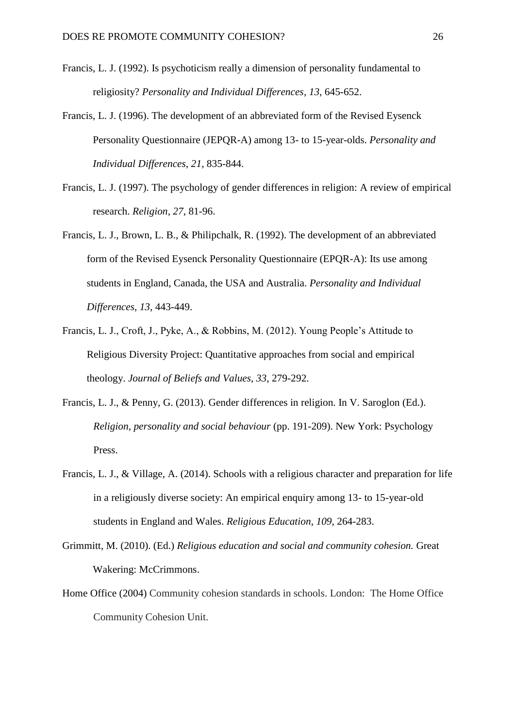- Francis, L. J. (1992). Is psychoticism really a dimension of personality fundamental to religiosity? *Personality and Individual Differences, 13*, 645-652.
- Francis, L. J. (1996). The development of an abbreviated form of the Revised Eysenck Personality Questionnaire (JEPQR-A) among 13- to 15-year-olds. *Personality and Individual Differences*, *21*, 835-844.
- Francis, L. J. (1997). The psychology of gender differences in religion: A review of empirical research. *Religion, 27*, 81-96.
- Francis, L. J., Brown, L. B., & Philipchalk, R. (1992). The development of an abbreviated form of the Revised Eysenck Personality Questionnaire (EPQR-A): Its use among students in England, Canada, the USA and Australia. *Personality and Individual Differences*, *13*, 443-449.
- Francis, L. J., Croft, J., Pyke, A., & Robbins, M. (2012). Young People's Attitude to Religious Diversity Project: Quantitative approaches from social and empirical theology. *Journal of Beliefs and Values, 33*, 279-292.
- Francis, L. J., & Penny, G. (2013). Gender differences in religion. In V. Saroglon (Ed.). *Religion, personality and social behaviour* (pp. 191-209). New York: Psychology Press.
- Francis, L. J., & Village, A. (2014). Schools with a religious character and preparation for life in a religiously diverse society: An empirical enquiry among 13- to 15-year-old students in England and Wales. *Religious Education*, *109*, 264-283.
- Grimmitt, M. (2010). (Ed.) *Religious education and social and community cohesion.* Great Wakering: McCrimmons.
- Home Office (2004) Community cohesion standards in schools. London: The Home Office Community Cohesion Unit.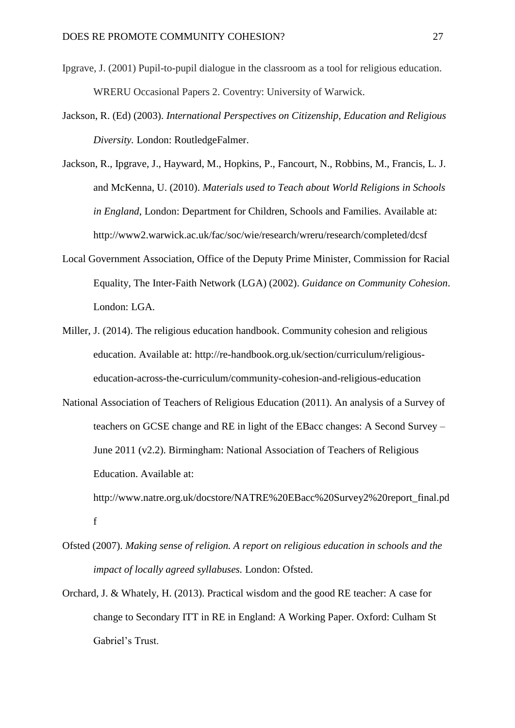- Ipgrave, J. (2001) Pupil-to-pupil dialogue in the classroom as a tool for religious education. WRERU Occasional Papers 2. Coventry: University of Warwick.
- Jackson, R. (Ed) (2003). *International Perspectives on Citizenship, Education and Religious Diversity.* London: RoutledgeFalmer.
- Jackson, R., Ipgrave, J., Hayward, M., Hopkins, P., Fancourt, N., Robbins, M., Francis, L. J. and McKenna, U. (2010). *Materials used to Teach about World Religions in Schools in England*, London: Department for Children, Schools and Families. Available at: <http://www2.warwick.ac.uk/fac/soc/wie/research/wreru/research/completed/dcsf>
- Local Government Association, Office of the Deputy Prime Minister, Commission for Racial Equality, The Inter-Faith Network (LGA) (2002). *Guidance on Community Cohesion*. London: LGA.
- Miller, J. (2014). The religious education handbook. Community cohesion and religious education. Available at: [http://re-handbook.org.uk/section/curriculum/religious](http://re-handbook.org.uk/section/curriculum/religious-education-across-the-curriculum/community-cohesion-and-religious-education)[education-across-the-curriculum/community-cohesion-and-religious-education](http://re-handbook.org.uk/section/curriculum/religious-education-across-the-curriculum/community-cohesion-and-religious-education)
- National Association of Teachers of Religious Education (2011). An analysis of a Survey of teachers on GCSE change and RE in light of the EBacc changes: A Second Survey – June 2011 (v2.2). Birmingham: National Association of Teachers of Religious Education. Available at: [http://www.natre.org.uk/docstore/NATRE%20EBacc%20Survey2%20report\\_final.pd](http://www.natre.org.uk/docstore/NATRE%20EBacc%20Survey2%20report_final.pdf)
- Ofsted (2007). *Making sense of religion. A report on religious education in schools and the impact of locally agreed syllabuses.* London: Ofsted.

[f](http://www.natre.org.uk/docstore/NATRE%20EBacc%20Survey2%20report_final.pdf)

Orchard, J. & Whately, H. (2013). Practical wisdom and the good RE teacher: A case for change to Secondary ITT in RE in England: A Working Paper. Oxford: Culham St Gabriel's Trust.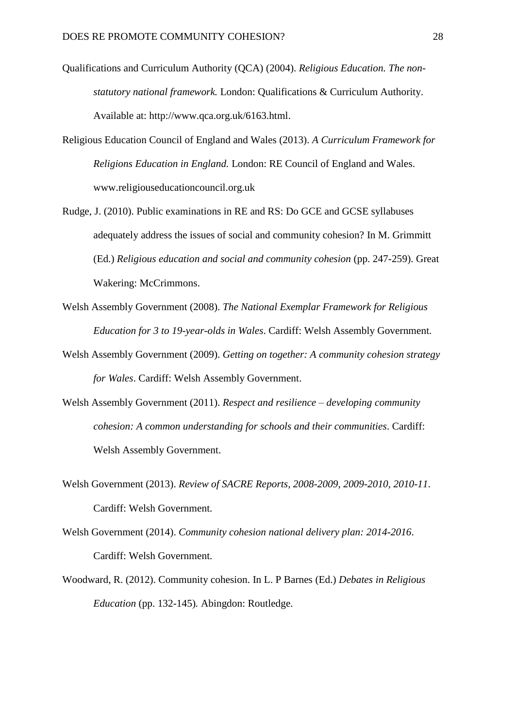- Qualifications and Curriculum Authority (QCA) (2004). *Religious Education. The nonstatutory national framework.* London: Qualifications & Curriculum Authority. Available at: [http://www.qca.org.uk/6163.html.](http://www.qca.org.uk/6163.html)
- Religious Education Council of England and Wales (2013). *A Curriculum Framework for Religions Education in England.* London: RE Council of England and Wales. [www.religiouseducationcouncil.org.uk](http://www.religiouseducationcouncil.org.uk/)
- Rudge, J. (2010). Public examinations in RE and RS: Do GCE and GCSE syllabuses adequately address the issues of social and community cohesion? In M. Grimmitt (Ed.) *Religious education and social and community cohesion* (pp. 247-259). Great Wakering: McCrimmons.
- Welsh Assembly Government (2008). *The National Exemplar Framework for Religious Education for 3 to 19-year-olds in Wales*. Cardiff: Welsh Assembly Government.
- Welsh Assembly Government (2009). *Getting on together: A community cohesion strategy for Wales*. Cardiff: Welsh Assembly Government.
- Welsh Assembly Government (2011). *Respect and resilience – developing community cohesion: A common understanding for schools and their communities*. Cardiff: Welsh Assembly Government.
- Welsh Government (2013). *Review of SACRE Reports, 2008-2009, 2009-2010, 2010-11*. Cardiff: Welsh Government.
- Welsh Government (2014). *Community cohesion national delivery plan: 2014-2016*. Cardiff: Welsh Government.
- Woodward, R. (2012). Community cohesion. In L. P Barnes (Ed.) *Debates in Religious Education* (pp. 132-145)*.* Abingdon: Routledge.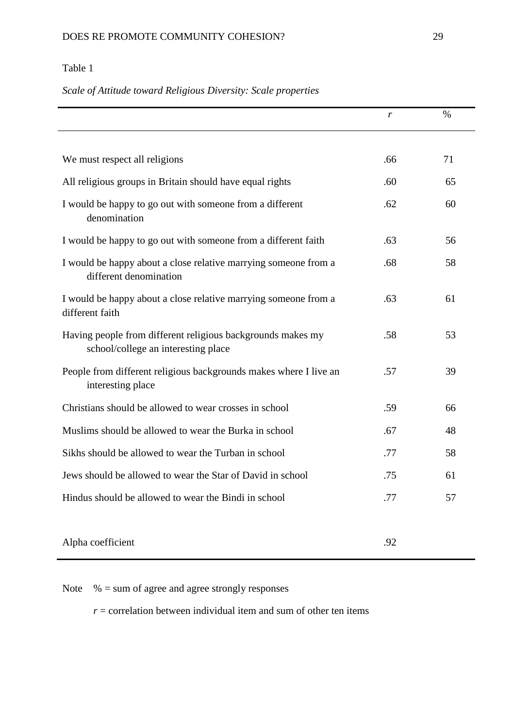### *Scale of Attitude toward Religious Diversity: Scale properties*

|                                                                                                    | r   | $\%$ |
|----------------------------------------------------------------------------------------------------|-----|------|
|                                                                                                    |     |      |
| We must respect all religions                                                                      | .66 | 71   |
| All religious groups in Britain should have equal rights                                           | .60 | 65   |
| I would be happy to go out with someone from a different<br>denomination                           | .62 | 60   |
| I would be happy to go out with someone from a different faith                                     | .63 | 56   |
| I would be happy about a close relative marrying someone from a<br>different denomination          | .68 | 58   |
| I would be happy about a close relative marrying someone from a<br>different faith                 | .63 | 61   |
| Having people from different religious backgrounds makes my<br>school/college an interesting place | .58 | 53   |
| People from different religious backgrounds makes where I live an<br>interesting place             | .57 | 39   |
| Christians should be allowed to wear crosses in school                                             | .59 | 66   |
| Muslims should be allowed to wear the Burka in school                                              | .67 | 48   |
| Sikhs should be allowed to wear the Turban in school                                               | .77 | 58   |
| Jews should be allowed to wear the Star of David in school                                         | .75 | 61   |
| Hindus should be allowed to wear the Bindi in school                                               | .77 | 57   |
|                                                                                                    |     |      |
| Alpha coefficient                                                                                  | .92 |      |

Note  $% =$  sum of agree and agree strongly responses

 $r =$  correlation between individual item and sum of other ten items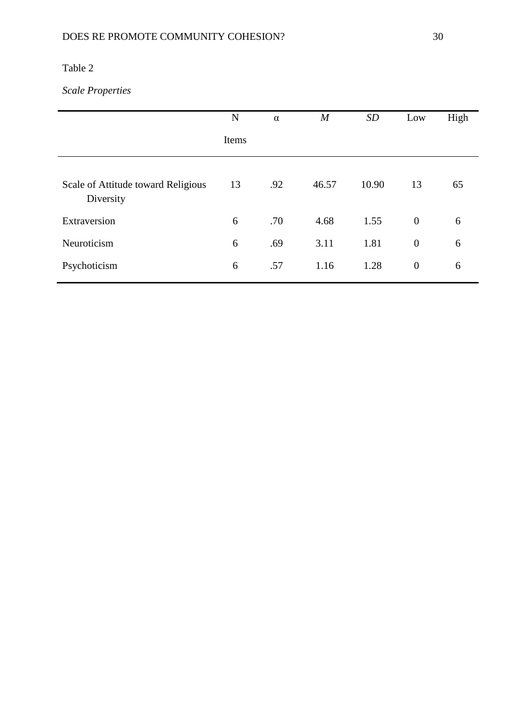# *Scale Properties*

|                                                 | N     | $\alpha$ | $\boldsymbol{M}$ | SD    | Low              | High |
|-------------------------------------------------|-------|----------|------------------|-------|------------------|------|
|                                                 | Items |          |                  |       |                  |      |
| Scale of Attitude toward Religious<br>Diversity | 13    | .92      | 46.57            | 10.90 | 13               | 65   |
| Extraversion                                    | 6     | .70      | 4.68             | 1.55  | $\mathbf{0}$     | 6    |
| Neuroticism                                     | 6     | .69      | 3.11             | 1.81  | $\theta$         | 6    |
| Psychoticism                                    | 6     | .57      | 1.16             | 1.28  | $\boldsymbol{0}$ | 6    |
|                                                 |       |          |                  |       |                  |      |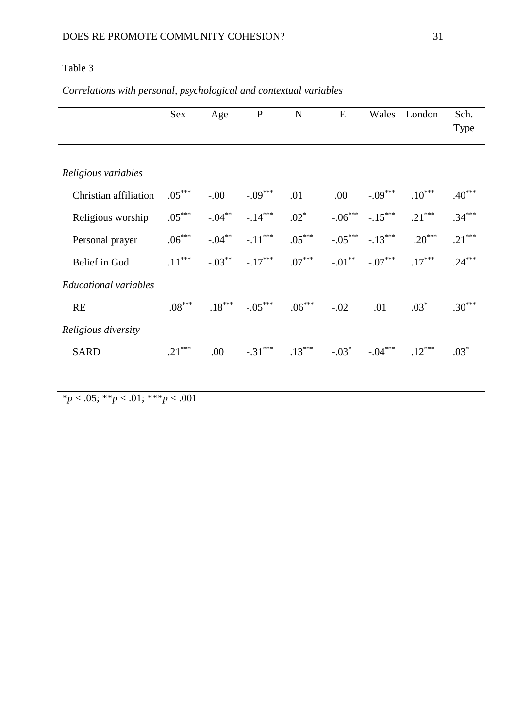### *Correlations with personal, psychological and contextual variables*

|                              | Sex      | Age       | ${\bf P}$ | N        | E         | Wales     | London   | Sch.     |
|------------------------------|----------|-----------|-----------|----------|-----------|-----------|----------|----------|
|                              |          |           |           |          |           |           |          | Type     |
|                              |          |           |           |          |           |           |          |          |
| Religious variables          |          |           |           |          |           |           |          |          |
| Christian affiliation        | $.05***$ | $-.00$    | $-.09***$ | .01      | .00       | $-.09***$ | $.10***$ | $.40***$ |
| Religious worship            | $.05***$ | $-.04***$ | $-.14***$ | $.02*$   | $-.06***$ | $-.15***$ | $.21***$ | $.34***$ |
| Personal prayer              | $.06***$ | $-.04***$ | $-.11***$ | $.05***$ | $-.05***$ | $-.13***$ | $.20***$ | $.21***$ |
| Belief in God                | $.11***$ | $-.03***$ | $-.17***$ | $.07***$ | $-.01***$ | $-.07***$ | $.17***$ | $.24***$ |
| <b>Educational</b> variables |          |           |           |          |           |           |          |          |
| <b>RE</b>                    | $.08***$ | $.18***$  | $-.05***$ | $.06***$ | $-.02$    | .01       | $.03*$   | $.30***$ |
| Religious diversity          |          |           |           |          |           |           |          |          |
| <b>SARD</b>                  | $.21***$ | .00       | $-.31***$ | $.13***$ | $-.03*$   | $-.04***$ | $.12***$ | $.03*$   |
|                              |          |           |           |          |           |           |          |          |

\**p* < .05; \*\**p* < .01; \*\*\**p* < .001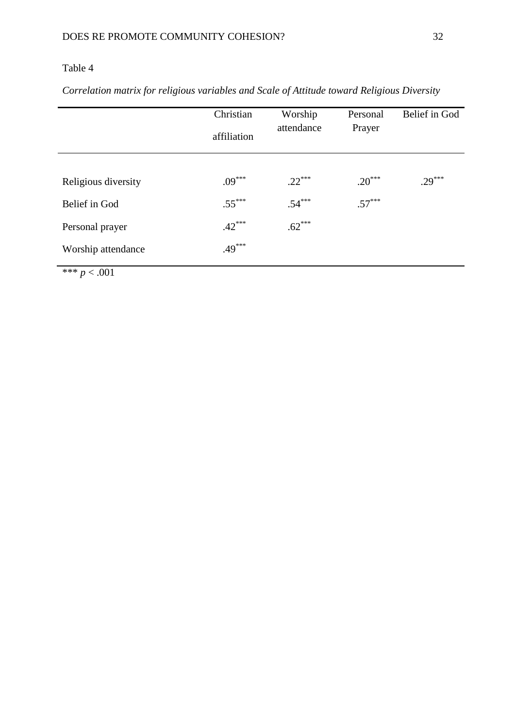*Correlation matrix for religious variables and Scale of Attitude toward Religious Diversity*

|                     | Christian   | Worship    | Personal | Belief in God |  |
|---------------------|-------------|------------|----------|---------------|--|
|                     | affiliation | attendance | Prayer   |               |  |
|                     |             |            |          |               |  |
| Religious diversity | $.09***$    | $.22***$   | $.20***$ | $.29***$      |  |
| Belief in God       | $.55***$    | $.54***$   | $.57***$ |               |  |
| Personal prayer     | $.42***$    | $.62***$   |          |               |  |
| Worship attendance  | $.49***$    |            |          |               |  |

\*\*\* *p* < .001